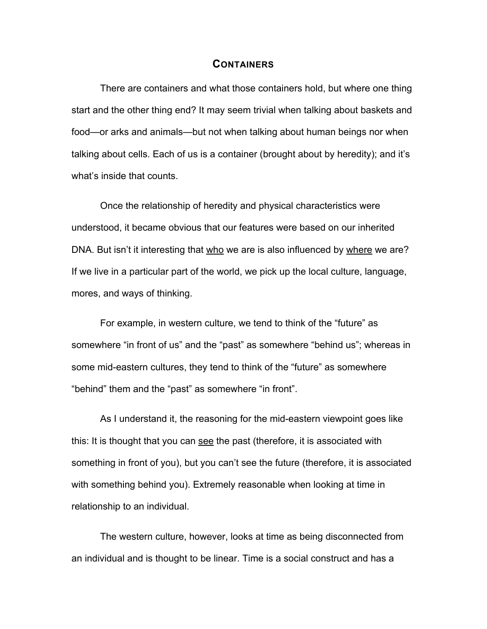## **CONTAINERS**

There are containers and what those containers hold, but where one thing start and the other thing end? It may seem trivial when talking about baskets and food—or arks and animals—but not when talking about human beings nor when talking about cells. Each of us is a container (brought about by heredity); and it's what's inside that counts.

Once the relationship of heredity and physical characteristics were understood, it became obvious that our features were based on our inherited DNA. But isn't it interesting that who we are is also influenced by where we are? If we live in a particular part of the world, we pick up the local culture, language, mores, and ways of thinking.

For example, in western culture, we tend to think of the "future" as somewhere "in front of us" and the "past" as somewhere "behind us"; whereas in some mid-eastern cultures, they tend to think of the "future" as somewhere "behind" them and the "past" as somewhere "in front".

As I understand it, the reasoning for the mid-eastern viewpoint goes like this: It is thought that you can see the past (therefore, it is associated with something in front of you), but you can't see the future (therefore, it is associated with something behind you). Extremely reasonable when looking at time in relationship to an individual.

The western culture, however, looks at time as being disconnected from an individual and is thought to be linear. Time is a social construct and has a